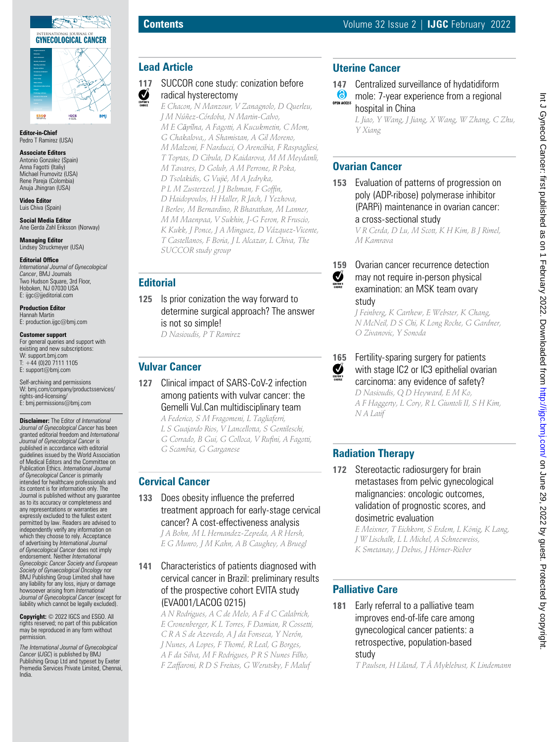

**Editor-in-Chief** Pedro T Ramirez (USA)

#### **Associate Editors**

Antonio Gonzalez (Spain) Anna Fagotti (Italiy) Michael Frumovitz (USA) Rene Pareja (Colombia) Anuja Jhingran (USA)

**Video Editor** Luis Chiva (Spain)

**Social Media Editor** Ane Gerda Zahl Eriksson (Norway)

**Managing Editor** Lindsey Struckmeyer (USA)

### **Editorial Office**

*International Journal of Gynecological Cancer*, BMJ Journals Two Hudson Square, 3rd Floor, Hoboken, NJ 07030 USA E: ijgc@jjeditorial.com

**Production Editor** Hannah Martin E: production.ijgc@bmj.com

### **Customer support**

For general queries and support with existing and new subscriptions: W: support.bmj.com  $T: +44(0)2071111105$ E: support@bmj.com

Self-archiving and permissions W: bmj.com/company/productsservices/ rights-and-licensing/ E: bmj.permissions@bmj.com

**Disclaimer:** The Editor of *International Journal of Gynecological Cancer* has been granted editorial freedom and *International Journal of Gynecological Cancer* is published in accordance with editorial guidelines issued by the World Association of Medical Editors and the Committee on Publication Ethics. *International Journal of Gynecological Cancer* is primarily intended for healthcare professionals and its content is for information only. The Journal is published without any guarantee as to its accuracy or completeness and any representations or warranties are expressly excluded to the fullest extent permitted by law. Readers are advised to independently verify any information on which they choose to rely. Acceptance of advertising by *International Journal of Gynecological Cancer* does not imply endorsement. Neither *International Gynecologic Cancer Society and European Society of Gynaecological Oncology* nor BMJ Publishing Group Limited shall have any liability for any loss, injury or damage howsoever arising from *International Journal of Gynecological Cancer* (except for liability which cannot be legally excluded).

**Copyright:** © 2022 IGCS and ESGO. All rights reserved; no part of this publication may be reproduced in any form without permission.

*The International Journal of Gynecological Cancer* (*IJGC*) is published by BMJ Publishing Group Ltd and typeset by Exeter Premedia Services Private Limited, Chennai, India.

## **Lead Article**

#### **117** SUCCOR cone study: conization before  $\sum_{EDTORS}$ radical hysterectomy

*E Chacon, N Manzour, V Zanagnolo, D Querleu, J M Núñez-Córdoba, N Martin-Calvo, M E Căpîlna, A Fagotti, A Kucukmetin, C Mom, G Chakalova,, A Shamistan, A Gil Moreno, M Malzoni, F Narducci, O Arencibia, F Raspagliesi, T Toptas, D Cibula, D Kaidarova, M M Meydanli, M Tavares, D Golub, A M Perrone, R Poka, D Tsolakidis, G Vujić, M A Jedryka, P L M Zusterzeel, J J Beltman, F Goffin, D Haidopoulos, H Haller, R Jach, I Yezhova, I Berlev, M Bernardino, R Bharathan, M Lanner, M M Maenpaa, V Sukhin, J-G Feron, R Fruscio, K Kukk, J Ponce, J A Minguez, D Vázquez-Vicente, T Castellanos, F Boria, J L Alcazar, L Chiva, The SUCCOR study group*

## **Editorial**

**125** Is prior conization the way forward to determine surgical approach? The answer is not so simple! *D Nasioudis, P T Ramirez*

# **Vulvar Cancer**

**127** Clinical impact of SARS-CoV-2 infection among patients with vulvar cancer: the Gemelli Vul.Can multidisciplinary team

*A Federico, S M Fragomeni, L Tagliaferri, L S Guajardo Rios, V Lancellotta, S Gentileschi, G Corrado, B Gui, G Colloca, V Rufini, A Fagotti, G Scambia, G Garganese*

### **Cervical Cancer**

**133** Does obesity influence the preferred treatment approach for early-stage cervical cancer? A cost-effectiveness analysis *J A Bohn, M L Hernandez-Zepeda, A R Hersh,* 

*E G Munro, J M Kahn, A B Caughey, A Bruegl*

**141** Characteristics of patients diagnosed with cervical cancer in Brazil: preliminary results of the prospective cohort EVITA study (EVA001/LACOG 0215)

*A N Rodrigues, A C de Melo, A F d C Calabrich, E Cronenberger, K L Torres, F Damian, R Cossetti, C R A S de Azevedo, A J da Fonseca, Y Nerón, J Nunes, A Lopes, F Thomé, R Leal, G Borges, A F da Silva, M F Rodrigues, P R S Nunes Filho, F Zaffaroni, R D S Freitas, G Werutsky, F Maluf*

## **Uterine Cancer**

- **147** Centralized surveillance of hydatidiform
- $\bullet$ mole: 7-year experience from a regional OPEN ACCES hospital in China

*L Jiao, Y Wang, J Jiang, X Wang, W Zhang, C Zhu, Y Xiang*

## **Ovarian Cancer**

**153** Evaluation of patterns of progression on poly (ADP-ribose) polymerase inhibitor (PARPi) maintenance in ovarian cancer: a cross-sectional study

*V R Cerda, D Lu, M Scott, K H Kim, B J Rimel, M Kamrava*



Ø

## **159** Ovarian cancer recurrence detection may not require in-person physical examination: an MSK team ovary study

*J Feinberg, K Carthew, E Webster, K Chang, N McNeil, D S Chi, K Long Roche, G Gardner, O Zivanovic, Y Sonoda*

**165** Fertility-sparing surgery for patients with stage IC2 or IC3 epithelial ovarian carcinoma: any evidence of safety?

*D Nasioudis, Q D Heyward, E M Ko, A F Haggerty, L Cory, R L Giuntoli II, S H Kim, N A Latif*

# **Radiation Therapy**

172 Stereotactic radiosurgery for brain metastases from pelvic gynecological malignancies: oncologic outcomes, validation of prognostic scores, and dosimetric evaluation

> *E Meixner, T Eichkorn, S Erdem, L König, K Lang, J W Lischalk, L L Michel, A Schneeweiss, K Smetanay, J Debus, J Hörner-Rieber*

## **Palliative Care**

**181** Early referral to a palliative team improves end-of-life care among gynecological cancer patients: a retrospective, population-based study

*T Paulsen, H Liland, T Å Myklebust, K Lindemann*